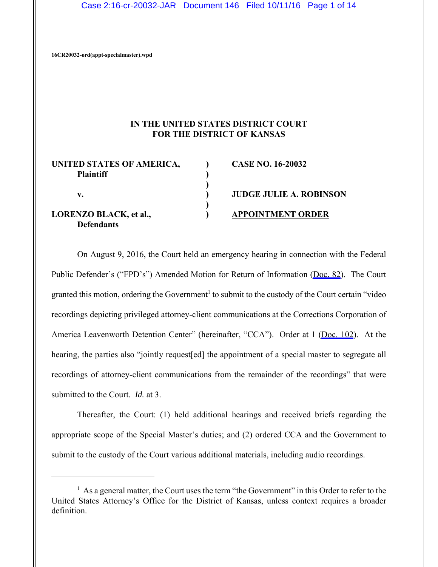Case 2:16-cr-20032-JAR Document 146 Filed 10/11/16 Page 1 of 14

**16CR20032-ord(appt-specialmaster).wpd**

## **IN THE UNITED STATES DISTRICT COURT FOR THE DISTRICT OF KANSAS**

| UNITED STATES OF AMERICA,<br><b>Plaintiff</b>      | <b>CASE NO. 16-20032</b>       |
|----------------------------------------------------|--------------------------------|
| v.                                                 | <b>JUDGE JULIE A. ROBINSON</b> |
| <b>LORENZO BLACK, et al.,</b><br><b>Defendants</b> | <b>APPOINTMENT ORDER</b>       |

On August 9, 2016, the Court held an emergency hearing in connection with the Federal Public Defender's ("FPD's") Amended Motion for Return of Information ([Doc. 82](https://jenie.ao.dcn/ksd-ecf/d/cmecfservices/rest/file/finddoc?caseYear=2016&caseNum=20032&caseType=cr&caseOffice=2&docNum=82)). The Court granted this motion, ordering the Government<sup>1</sup> to submit to the custody of the Court certain "video recordings depicting privileged attorney-client communications at the Corrections Corporation of America Leavenworth Detention Center" (hereinafter, "CCA"). Order at 1 [\(Doc. 102](https://jenie.ao.dcn/ksd-ecf/d/cmecfservices/rest/file/finddoc?caseYear=2016&caseNum=20032&caseType=cr&caseOffice=2&docNum=102)). At the hearing, the parties also "jointly request[ed] the appointment of a special master to segregate all recordings of attorney-client communications from the remainder of the recordings" that were submitted to the Court. *Id.* at 3.

Thereafter, the Court: (1) held additional hearings and received briefs regarding the appropriate scope of the Special Master's duties; and (2) ordered CCA and the Government to submit to the custody of the Court various additional materials, including audio recordings.

 $<sup>1</sup>$  As a general matter, the Court uses the term "the Government" in this Order to refer to the</sup> United States Attorney's Office for the District of Kansas, unless context requires a broader definition.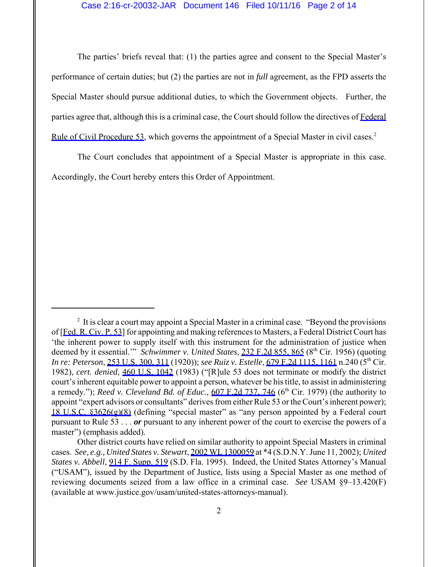The parties' briefs reveal that: (1) the parties agree and consent to the Special Master's performance of certain duties; but (2) the parties are not in *full* agreement, as the FPD asserts the Special Master should pursue additional duties, to which the Government objects. Further, the parties agree that, although this is a criminal case, the Court should follow the directives of [Federal](https://www.westlaw.com/Link/Document/FullText?rs=USCLink&vr=3.0&findType=Y&cite=FRCP+53&clientid=USCourts) [Rule of Civil Procedure 53](https://www.westlaw.com/Link/Document/FullText?rs=USCLink&vr=3.0&findType=Y&cite=FRCP+53&clientid=USCourts), which governs the appointment of a Special Master in civil cases.<sup>2</sup>

The Court concludes that appointment of a Special Master is appropriate in this case. Accordingly, the Court hereby enters this Order of Appointment.

 $2<sup>2</sup>$  It is clear a court may appoint a Special Master in a criminal case. "Beyond the provisions of [\[Fed. R. Civ. P. 53\]](https://www.westlaw.com/Link/Document/FullText?rs=USCLink&vr=3.0&findType=Y&cite=FRCP++53&clientid=USCourts) for appointing and making references to Masters, a Federal District Court has 'the inherent power to supply itself with this instrument for the administration of justice when deemed by it essential." *Schwimmer v. United States*, [232 F.2d 855, 865](https://www.westlaw.com/Link/Document/FullText?rs=USCLink&vr=3.0&findType=Y&cite=232++f.2d++855&refPos=865&refPosType=s&clientid=USCourts) (8<sup>th</sup> Cir. 1956) (quoting *In re: Peterson*, [253 U.S. 300, 311](https://www.westlaw.com/Link/Document/FullText?rs=USCLink&vr=3.0&findType=Y&cite=253++u.s.++300&refPos=311&refPosType=s&clientid=USCourts) (1920)); *see Ruiz v. Estelle*, [679 F.2d 1115, 1161](https://www.westlaw.com/Link/Document/FullText?rs=USCLink&vr=3.0&findType=Y&cite=679++f.2d++1115&refPos=1161&refPosType=s&clientid=USCourts) n.240 (5th Cir. 1982), *cert. denied*, [460 U.S. 1042](https://www.westlaw.com/Link/Document/FullText?rs=USCLink&vr=3.0&findType=Y&cite=460++u.s.++1042&refPos=1042&refPosType=s&clientid=USCourts) (1983) ("[R]ule 53 does not terminate or modify the district court's inherent equitable power to appoint a person, whatever be his title, to assist in administering a remedy."); *Reed v. Cleveland Bd. of Educ.*, [607 F.2d 737, 746](https://www.westlaw.com/Link/Document/FullText?rs=USCLink&vr=3.0&findType=Y&cite=607++f.2d++737&refPos=746&refPosType=s&clientid=USCourts) ( $6<sup>th</sup> Cir.$  1979) (the authority to appoint "expert advisors or consultants" derives from either Rule 53 or the Court's inherent power); [18 U.S.C. §3626\(g\)\(8\)](https://www.westlaw.com/Link/Document/FullText?rs=USCLink&vr=3.0&findType=Y&cite=18++u.s.c.++3626&clientid=USCourts) (defining "special master" as "any person appointed by a Federal court pursuant to Rule 53 . . . *or* pursuant to any inherent power of the court to exercise the powers of a master") (emphasis added).

Other district courts have relied on similar authority to appoint Special Masters in criminal cases. *See, e.g., United States v. Stewart*, [2002 WL 1300059](https://www.westlaw.com/Link/Document/FullText?rs=USCLink&vr=3.0&findType=Y&cite=2002++wl++1300059&refPos=1300059&refPosType=s&clientid=USCourts) at \*4 (S.D.N.Y. June 11, 2002); *United States v. Abbell*, [914 F. Supp. 519](https://www.westlaw.com/Link/Document/FullText?rs=USCLink&vr=3.0&findType=Y&cite=914++f.++supp.++519&refPos=519&refPosType=s&clientid=USCourts) (S.D. Fla. 1995). Indeed, the United States Attorney's Manual ("USAM"), issued by the Department of Justice, lists using a Special Master as one method of reviewing documents seized from a law office in a criminal case. *See* USAM §9–13.420(F) (available at www.justice.gov/usam/united-states-attorneys-manual).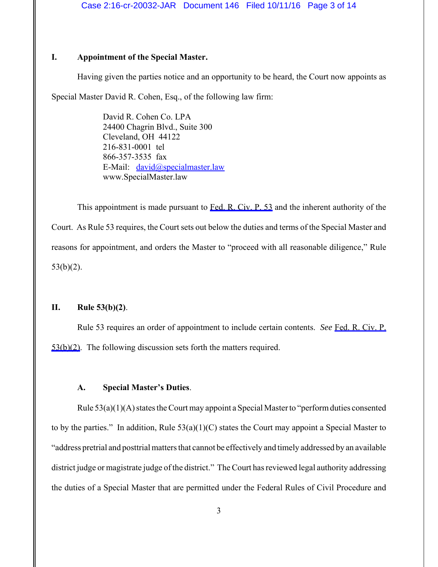## **I. Appointment of the Special Master.**

Having given the parties notice and an opportunity to be heard, the Court now appoints as

Special Master David R. Cohen, Esq., of the following law firm:

David R. Cohen Co. LPA 24400 Chagrin Blvd., Suite 300 Cleveland, OH 44122 216-831-0001 tel 866-357-3535 fax E-Mail: david@specialmaster.law www.SpecialMaster.law

This appointment is made pursuant to [Fed. R. Civ. P. 53](https://www.westlaw.com/Link/Document/FullText?rs=USCLink&vr=3.0&findType=Y&cite=FRCP+53&clientid=USCourts) and the inherent authority of the Court. As Rule 53 requires, the Court sets out below the duties and terms of the Special Master and reasons for appointment, and orders the Master to "proceed with all reasonable diligence," Rule 53(b)(2).

# **II. Rule 53(b)(2)**.

Rule 53 requires an order of appointment to include certain contents. *See* [Fed. R. Civ. P.](https://www.westlaw.com/Link/Document/FullText?rs=USCLink&vr=3.0&findType=Y&cite=FRCP++53(b)(2)&clientid=USCourts) [53\(b\)\(2\)](https://www.westlaw.com/Link/Document/FullText?rs=USCLink&vr=3.0&findType=Y&cite=FRCP++53(b)(2)&clientid=USCourts). The following discussion sets forth the matters required.

#### **A. Special Master's Duties**.

Rule 53(a)(1)(A) states the Court may appoint a Special Master to "perform duties consented to by the parties." In addition, Rule  $53(a)(1)(C)$  states the Court may appoint a Special Master to "address pretrial and posttrial matters that cannot be effectively and timely addressed by an available district judge or magistrate judge of the district." The Court has reviewed legal authority addressing the duties of a Special Master that are permitted under the Federal Rules of Civil Procedure and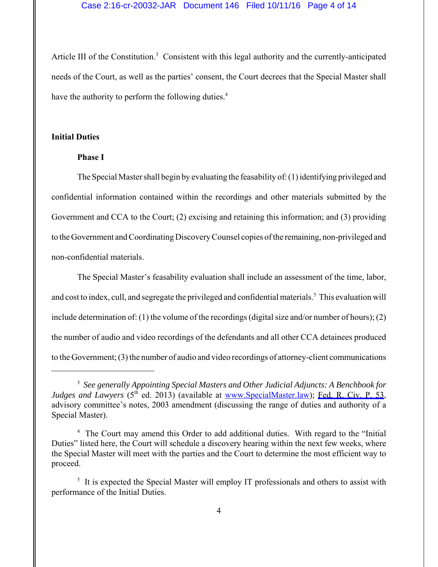#### Case 2:16-cr-20032-JAR Document 146 Filed 10/11/16 Page 4 of 14

Article III of the Constitution.<sup>3</sup> Consistent with this legal authority and the currently-anticipated needs of the Court, as well as the parties' consent, the Court decrees that the Special Master shall have the authority to perform the following duties.<sup>4</sup>

#### **Initial Duties**

#### **Phase I**

The Special Master shall begin by evaluating the feasability of: (1) identifying privileged and confidential information contained within the recordings and other materials submitted by the Government and CCA to the Court; (2) excising and retaining this information; and (3) providing to the Government and Coordinating Discovery Counsel copies of the remaining, non-privileged and non-confidential materials.

The Special Master's feasability evaluation shall include an assessment of the time, labor, and cost to index, cull, and segregate the privileged and confidential materials.<sup>5</sup> This evaluation will include determination of: (1) the volume of the recordings (digital size and/or number of hours); (2) the number of audio and video recordings of the defendants and all other CCA detainees produced to the Government; (3) the number of audio and video recordings of attorney-client communications

<sup>3</sup> *See generally Appointing Special Masters and Other Judicial Adjuncts: A Benchbook for Judges and Lawyers* (5<sup>th</sup> ed. 2013) (available at www.SpecialMaster.law); [Fed. R. Civ. P. 53,](https://www.westlaw.com/Link/Document/FullText?rs=USCLink&vr=3.0&findType=Y&cite=FRCP++53&clientid=USCourts) advisory committee's notes, 2003 amendment (discussing the range of duties and authority of a Special Master).

<sup>&</sup>lt;sup>4</sup> The Court may amend this Order to add additional duties. With regard to the "Initial Duties" listed here, the Court will schedule a discovery hearing within the next few weeks, where the Special Master will meet with the parties and the Court to determine the most efficient way to proceed.

<sup>&</sup>lt;sup>5</sup> It is expected the Special Master will employ IT professionals and others to assist with performance of the Initial Duties.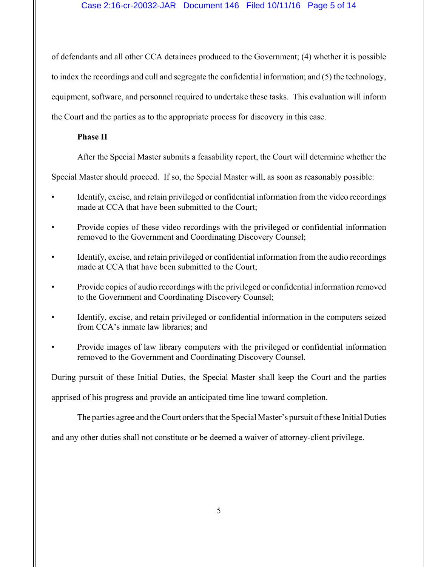## Case 2:16-cr-20032-JAR Document 146 Filed 10/11/16 Page 5 of 14

of defendants and all other CCA detainees produced to the Government; (4) whether it is possible to index the recordings and cull and segregate the confidential information; and (5) the technology, equipment, software, and personnel required to undertake these tasks. This evaluation will inform the Court and the parties as to the appropriate process for discovery in this case.

## **Phase II**

After the Special Master submits a feasability report, the Court will determine whether the

Special Master should proceed. If so, the Special Master will, as soon as reasonably possible:

- Identify, excise, and retain privileged or confidential information from the video recordings made at CCA that have been submitted to the Court;
- Provide copies of these video recordings with the privileged or confidential information removed to the Government and Coordinating Discovery Counsel;
- Identify, excise, and retain privileged or confidential information from the audio recordings made at CCA that have been submitted to the Court;
- Provide copies of audio recordings with the privileged or confidential information removed to the Government and Coordinating Discovery Counsel;
- Identify, excise, and retain privileged or confidential information in the computers seized from CCA's inmate law libraries; and
- Provide images of law library computers with the privileged or confidential information removed to the Government and Coordinating Discovery Counsel.

During pursuit of these Initial Duties, the Special Master shall keep the Court and the parties

apprised of his progress and provide an anticipated time line toward completion.

The parties agree and the Court orders that the Special Master's pursuit of these Initial Duties

and any other duties shall not constitute or be deemed a waiver of attorney-client privilege.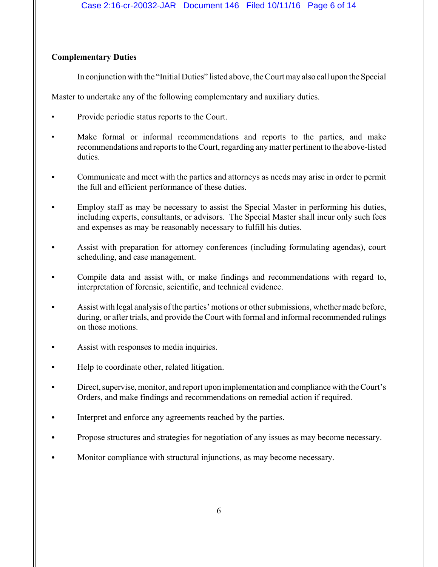# **Complementary Duties**

In conjunction with the "Initial Duties" listed above, the Court may also call upon the Special

Master to undertake any of the following complementary and auxiliary duties.

- Provide periodic status reports to the Court.
- Make formal or informal recommendations and reports to the parties, and make recommendations and reports to the Court, regarding any matter pertinent to the above-listed duties.
- Communicate and meet with the parties and attorneys as needs may arise in order to permit the full and efficient performance of these duties.
- Employ staff as may be necessary to assist the Special Master in performing his duties, including experts, consultants, or advisors. The Special Master shall incur only such fees and expenses as may be reasonably necessary to fulfill his duties.
- Assist with preparation for attorney conferences (including formulating agendas), court scheduling, and case management.
- Compile data and assist with, or make findings and recommendations with regard to, interpretation of forensic, scientific, and technical evidence.
- Assist with legal analysis of the parties' motions or other submissions, whether made before, during, or after trials, and provide the Court with formal and informal recommended rulings on those motions.
- Assist with responses to media inquiries.
- Help to coordinate other, related litigation.
- Direct, supervise, monitor, and report upon implementation and compliance with the Court's Orders, and make findings and recommendations on remedial action if required.
- Interpret and enforce any agreements reached by the parties.
- Propose structures and strategies for negotiation of any issues as may become necessary.
- Monitor compliance with structural injunctions, as may become necessary.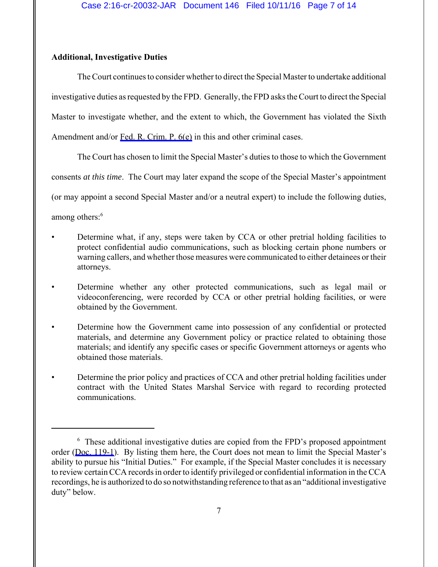# **Additional, Investigative Duties**

The Court continues to consider whether to direct the Special Master to undertake additional investigative duties as requested by the FPD. Generally, the FPD asks the Court to direct the Special Master to investigate whether, and the extent to which, the Government has violated the Sixth Amendment and/or [Fed. R. Crim. P. 6\(e\)](https://www.westlaw.com/Link/Document/FullText?rs=USCLink&vr=3.0&findType=Y&cite=FRCRP+6(e)&clientid=USCourts) in this and other criminal cases.

The Court has chosen to limit the Special Master's duties to those to which the Government consents *at this time*. The Court may later expand the scope of the Special Master's appointment (or may appoint a second Special Master and/or a neutral expert) to include the following duties,

among others:<sup>6</sup>

- Determine what, if any, steps were taken by CCA or other pretrial holding facilities to protect confidential audio communications, such as blocking certain phone numbers or warning callers, and whether those measures were communicated to either detainees or their attorneys.
- Determine whether any other protected communications, such as legal mail or videoconferencing, were recorded by CCA or other pretrial holding facilities, or were obtained by the Government.
- Determine how the Government came into possession of any confidential or protected materials, and determine any Government policy or practice related to obtaining those materials; and identify any specific cases or specific Government attorneys or agents who obtained those materials.
- Determine the prior policy and practices of CCA and other pretrial holding facilities under contract with the United States Marshal Service with regard to recording protected communications.

<sup>&</sup>lt;sup>6</sup> These additional investigative duties are copied from the FPD's proposed appointment order ([Doc. 119-1](https://jenie.ao.dcn/ksd-ecf/d/cmecfservices/rest/file/finddoc?caseYear=2016&caseNum=20032&caseType=cr&caseOffice=2&docNum=119&docSeq=1)). By listing them here, the Court does not mean to limit the Special Master's ability to pursue his "Initial Duties." For example, if the Special Master concludes it is necessary to review certain CCA records in order to identify privileged or confidential information in the CCA recordings, he is authorized to do so notwithstanding reference to that as an "additional investigative duty" below.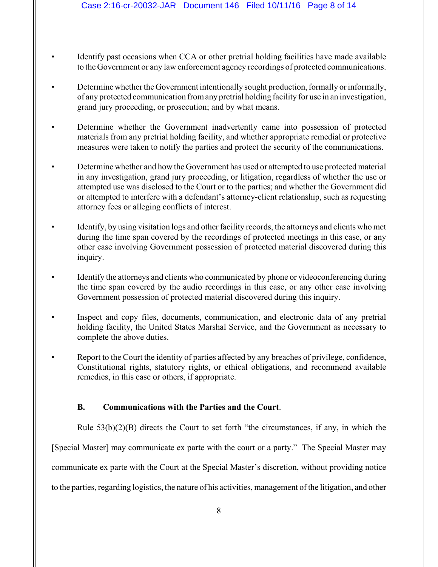- Identify past occasions when CCA or other pretrial holding facilities have made available to the Government or any law enforcement agency recordings of protected communications.
- Determine whether the Government intentionally sought production, formally or informally, of any protected communication from any pretrial holding facility for use in an investigation, grand jury proceeding, or prosecution; and by what means.
- Determine whether the Government inadvertently came into possession of protected materials from any pretrial holding facility, and whether appropriate remedial or protective measures were taken to notify the parties and protect the security of the communications.
- Determine whether and how the Government has used or attempted to use protected material in any investigation, grand jury proceeding, or litigation, regardless of whether the use or attempted use was disclosed to the Court or to the parties; and whether the Government did or attempted to interfere with a defendant's attorney-client relationship, such as requesting attorney fees or alleging conflicts of interest.
- Identify, by using visitation logs and other facility records, the attorneys and clients who met during the time span covered by the recordings of protected meetings in this case, or any other case involving Government possession of protected material discovered during this inquiry.
- Identify the attorneys and clients who communicated by phone or videoconferencing during the time span covered by the audio recordings in this case, or any other case involving Government possession of protected material discovered during this inquiry.
- Inspect and copy files, documents, communication, and electronic data of any pretrial holding facility, the United States Marshal Service, and the Government as necessary to complete the above duties.
- Report to the Court the identity of parties affected by any breaches of privilege, confidence, Constitutional rights, statutory rights, or ethical obligations, and recommend available remedies, in this case or others, if appropriate.

# **B. Communications with the Parties and the Court**.

Rule  $53(b)(2)(B)$  directs the Court to set forth "the circumstances, if any, in which the [Special Master] may communicate ex parte with the court or a party." The Special Master may communicate ex parte with the Court at the Special Master's discretion, without providing notice to the parties, regarding logistics, the nature of his activities, management of the litigation, and other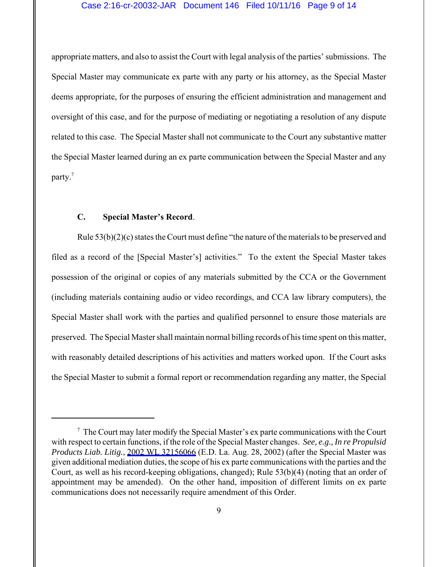#### Case 2:16-cr-20032-JAR Document 146 Filed 10/11/16 Page 9 of 14

appropriate matters, and also to assist the Court with legal analysis of the parties' submissions. The Special Master may communicate ex parte with any party or his attorney, as the Special Master deems appropriate, for the purposes of ensuring the efficient administration and management and oversight of this case, and for the purpose of mediating or negotiating a resolution of any dispute related to this case. The Special Master shall not communicate to the Court any substantive matter the Special Master learned during an ex parte communication between the Special Master and any party.<sup>7</sup>

## **C. Special Master's Record**.

Rule 53(b)(2)(c) states the Court must define "the nature of the materials to be preserved and filed as a record of the [Special Master's] activities." To the extent the Special Master takes possession of the original or copies of any materials submitted by the CCA or the Government (including materials containing audio or video recordings, and CCA law library computers), the Special Master shall work with the parties and qualified personnel to ensure those materials are preserved. The Special Master shall maintain normal billing records of his time spent on this matter, with reasonably detailed descriptions of his activities and matters worked upon. If the Court asks the Special Master to submit a formal report or recommendation regarding any matter, the Special

 $7$  The Court may later modify the Special Master's ex parte communications with the Court with respect to certain functions, if the role of the Special Master changes. *See, e.g., In re Propulsid Products Liab. Litig.*, [2002 WL 32156066](https://www.westlaw.com/Link/Document/FullText?rs=USCLink&vr=3.0&findType=Y&cite=2002++wl++32156066&refPos=32156066&refPosType=s&clientid=USCourts) (E.D. La. Aug. 28, 2002) (after the Special Master was given additional mediation duties, the scope of his ex parte communications with the parties and the Court, as well as his record-keeping obligations, changed); Rule 53(b)(4) (noting that an order of appointment may be amended). On the other hand, imposition of different limits on ex parte communications does not necessarily require amendment of this Order.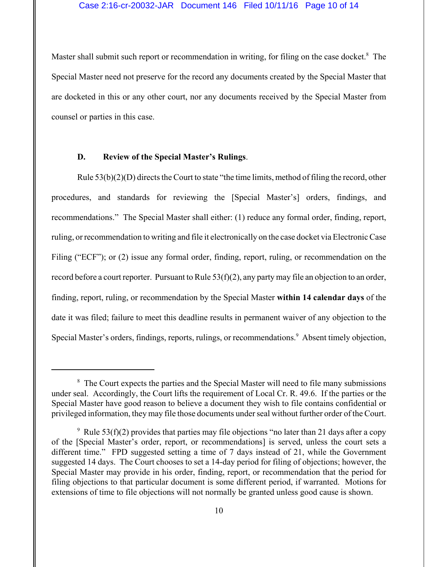Master shall submit such report or recommendation in writing, for filing on the case docket.<sup>8</sup> The Special Master need not preserve for the record any documents created by the Special Master that are docketed in this or any other court, nor any documents received by the Special Master from counsel or parties in this case.

#### **D. Review of the Special Master's Rulings**.

Rule 53(b)(2)(D) directs the Court to state "the time limits, method of filing the record, other procedures, and standards for reviewing the [Special Master's] orders, findings, and recommendations." The Special Master shall either: (1) reduce any formal order, finding, report, ruling, or recommendation to writing and file it electronically on the case docket via Electronic Case Filing ("ECF"); or (2) issue any formal order, finding, report, ruling, or recommendation on the record before a court reporter. Pursuant to Rule 53(f)(2), any party may file an objection to an order, finding, report, ruling, or recommendation by the Special Master **within 14 calendar days** of the date it was filed; failure to meet this deadline results in permanent waiver of any objection to the Special Master's orders, findings, reports, rulings, or recommendations.<sup>9</sup> Absent timely objection,

<sup>&</sup>lt;sup>8</sup> The Court expects the parties and the Special Master will need to file many submissions under seal. Accordingly, the Court lifts the requirement of Local Cr. R. 49.6. If the parties or the Special Master have good reason to believe a document they wish to file contains confidential or privileged information, they may file those documents under seal without further order of the Court.

<sup>&</sup>lt;sup>9</sup> Rule 53(f)(2) provides that parties may file objections "no later than 21 days after a copy of the [Special Master's order, report, or recommendations] is served, unless the court sets a different time." FPD suggested setting a time of 7 days instead of 21, while the Government suggested 14 days. The Court chooses to set a 14-day period for filing of objections; however, the Special Master may provide in his order, finding, report, or recommendation that the period for filing objections to that particular document is some different period, if warranted. Motions for extensions of time to file objections will not normally be granted unless good cause is shown.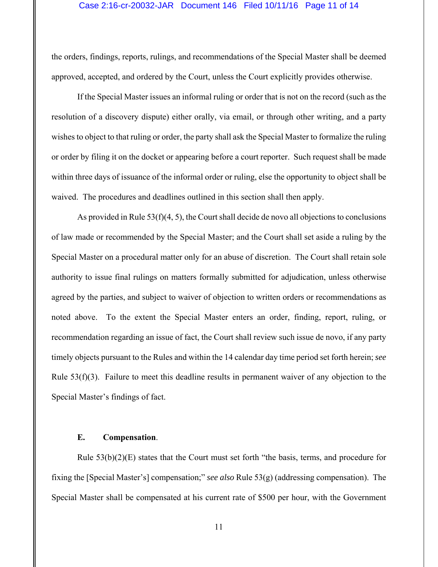#### Case 2:16-cr-20032-JAR Document 146 Filed 10/11/16 Page 11 of 14

the orders, findings, reports, rulings, and recommendations of the Special Master shall be deemed approved, accepted, and ordered by the Court, unless the Court explicitly provides otherwise.

If the Special Master issues an informal ruling or order that is not on the record (such as the resolution of a discovery dispute) either orally, via email, or through other writing, and a party wishes to object to that ruling or order, the party shall ask the Special Master to formalize the ruling or order by filing it on the docket or appearing before a court reporter. Such request shall be made within three days of issuance of the informal order or ruling, else the opportunity to object shall be waived. The procedures and deadlines outlined in this section shall then apply.

As provided in Rule 53(f)(4, 5), the Court shall decide de novo all objections to conclusions of law made or recommended by the Special Master; and the Court shall set aside a ruling by the Special Master on a procedural matter only for an abuse of discretion. The Court shall retain sole authority to issue final rulings on matters formally submitted for adjudication, unless otherwise agreed by the parties, and subject to waiver of objection to written orders or recommendations as noted above. To the extent the Special Master enters an order, finding, report, ruling, or recommendation regarding an issue of fact, the Court shall review such issue de novo, if any party timely objects pursuant to the Rules and within the 14 calendar day time period set forth herein; *see* Rule 53(f)(3). Failure to meet this deadline results in permanent waiver of any objection to the Special Master's findings of fact.

## **E. Compensation**.

Rule  $53(b)(2)(E)$  states that the Court must set forth "the basis, terms, and procedure for fixing the [Special Master's] compensation;" *see also* Rule 53(g) (addressing compensation). The Special Master shall be compensated at his current rate of \$500 per hour, with the Government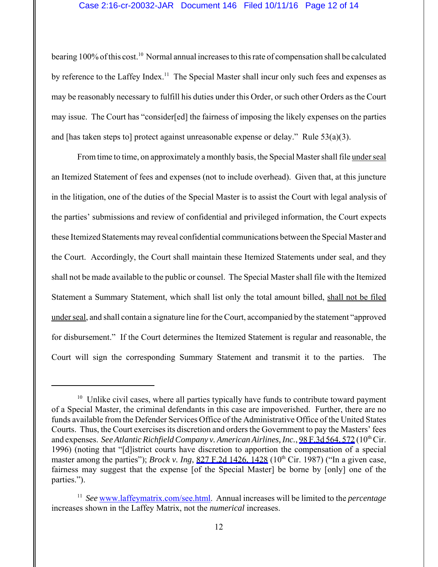#### Case 2:16-cr-20032-JAR Document 146 Filed 10/11/16 Page 12 of 14

bearing 100% of this cost.<sup>10</sup> Normal annual increases to this rate of compensation shall be calculated by reference to the Laffey Index.<sup>11</sup> The Special Master shall incur only such fees and expenses as may be reasonably necessary to fulfill his duties under this Order, or such other Orders as the Court may issue. The Court has "consider[ed] the fairness of imposing the likely expenses on the parties and [has taken steps to] protect against unreasonable expense or delay." Rule  $53(a)(3)$ .

From time to time, on approximately a monthly basis, the Special Master shall file under seal an Itemized Statement of fees and expenses (not to include overhead). Given that, at this juncture in the litigation, one of the duties of the Special Master is to assist the Court with legal analysis of the parties' submissions and review of confidential and privileged information, the Court expects these Itemized Statements may reveal confidential communications between the Special Master and the Court. Accordingly, the Court shall maintain these Itemized Statements under seal, and they shall not be made available to the public or counsel. The Special Master shall file with the Itemized Statement a Summary Statement, which shall list only the total amount billed, shall not be filed under seal, and shall contain a signature line for the Court, accompanied by the statement "approved for disbursement." If the Court determines the Itemized Statement is regular and reasonable, the Court will sign the corresponding Summary Statement and transmit it to the parties. The

 $10$  Unlike civil cases, where all parties typically have funds to contribute toward payment of a Special Master, the criminal defendants in this case are impoverished. Further, there are no funds available from the Defender Services Office of the Administrative Office of the United States Courts. Thus, the Court exercises its discretion and orders the Government to pay the Masters' fees and expenses. *See Atlantic Richfield Company v. American Airlines, Inc.*, [98 F.3d 564, 572](https://www.westlaw.com/Link/Document/FullText?rs=USCLink&vr=3.0&findType=Y&cite=98++f.3d++564&refPos=572&refPosType=s&clientid=USCourts) (10<sup>th</sup> Cir. 1996) (noting that "[d]istrict courts have discretion to apportion the compensation of a special master among the parties"); *Brock v. Ing*, [827 F.2d 1426, 1428](https://www.westlaw.com/Link/Document/FullText?rs=USCLink&vr=3.0&findType=Y&cite=827++f.2d++1426&refPos=1428&refPosType=s&clientid=USCourts) (10<sup>th</sup> Cir. 1987) ("In a given case, fairness may suggest that the expense [of the Special Master] be borne by [only] one of the parties.").

<sup>&</sup>lt;sup>11</sup> *See* www.laffeymatrix.com/see.html. Annual increases will be limited to the *percentage* increases shown in the Laffey Matrix, not the *numerical* increases.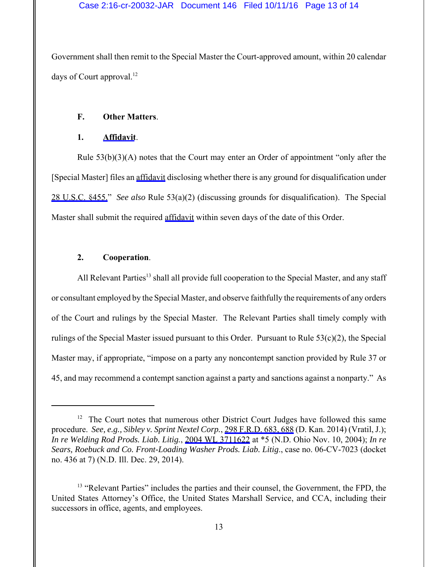Government shall then remit to the Special Master the Court-approved amount, within 20 calendar days of Court approval. $^{12}$ 

# **F. Other Matters**.

## **1. [Affidavit](https://jenie.ao.dcn/ksd-ecf/d/cmecfservices/rest/file/finddoc?caseYear=2016&caseNum=20032&caseType=cr&caseOffice=2&docNum=146&docSeq=1)**.

Rule 53(b)(3)(A) notes that the Court may enter an Order of appointment "only after the [Special Master] files an [affidavit](https://jenie.ao.dcn/ksd-ecf/d/cmecfservices/rest/file/finddoc?caseYear=2016&caseNum=20032&caseType=cr&caseOffice=2&docNum=146&docSeq=1) disclosing whether there is any ground for disqualification under [28 U.S.C. §455."](https://www.westlaw.com/Link/Document/FullText?rs=USCLink&vr=3.0&findType=Y&cite=28+u.s.c.+455.&clientid=USCourts) *See also* Rule 53(a)(2) (discussing grounds for disqualification). The Special Master shall submit the required [affidavit](https://jenie.ao.dcn/ksd-ecf/d/cmecfservices/rest/file/finddoc?caseYear=2016&caseNum=20032&caseType=cr&caseOffice=2&docNum=146&docSeq=1) within seven days of the date of this Order.

# **2. Cooperation**.

All Relevant Parties<sup>13</sup> shall all provide full cooperation to the Special Master, and any staff or consultant employed by the Special Master, and observe faithfully the requirements of any orders of the Court and rulings by the Special Master. The Relevant Parties shall timely comply with rulings of the Special Master issued pursuant to this Order. Pursuant to Rule 53(c)(2), the Special Master may, if appropriate, "impose on a party any noncontempt sanction provided by Rule 37 or 45, and may recommend a contempt sanction against a party and sanctions against a nonparty." As

<sup>&</sup>lt;sup>12</sup> The Court notes that numerous other District Court Judges have followed this same procedure. *See, e.g., Sibley v. Sprint Nextel Corp.*, [298 F.R.D. 683, 688](https://www.westlaw.com/Link/Document/FullText?rs=USCLink&vr=3.0&findType=Y&cite=298++f.r.d.++683&refPos=688&refPosType=s&clientid=USCourts) (D. Kan. 2014) (Vratil, J.); *In re Welding Rod Prods. Liab. Litig.*, [2004 WL 3711622](https://www.westlaw.com/Link/Document/FullText?rs=USCLink&vr=3.0&findType=Y&cite=2004++wl++3711622&refPos=3711622&refPosType=s&clientid=USCourts) at \*5 (N.D. Ohio Nov. 10, 2004); *In re Sears, Roebuck and Co. Front-Loading Washer Prods. Liab. Litig*., case no. 06-CV-7023 (docket no. 436 at 7) (N.D. Ill. Dec. 29, 2014).

<sup>&</sup>lt;sup>13</sup> "Relevant Parties" includes the parties and their counsel, the Government, the FPD, the United States Attorney's Office, the United States Marshall Service, and CCA, including their successors in office, agents, and employees.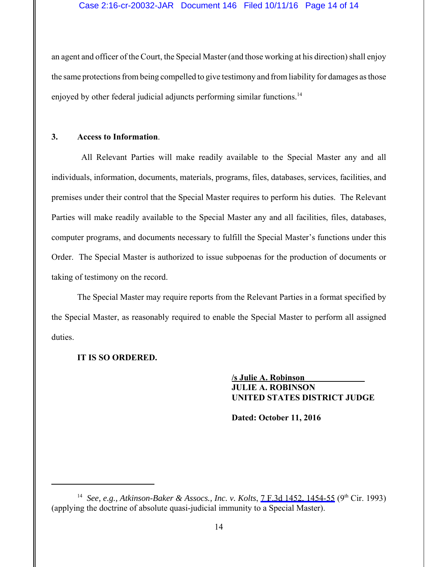## Case 2:16-cr-20032-JAR Document 146 Filed 10/11/16 Page 14 of 14

an agent and officer of the Court, the Special Master (and those working at his direction) shall enjoy the same protections from being compelled to give testimony and from liability for damages as those enjoyed by other federal judicial adjuncts performing similar functions.<sup>14</sup>

#### **3. Access to Information**.

 All Relevant Parties will make readily available to the Special Master any and all individuals, information, documents, materials, programs, files, databases, services, facilities, and premises under their control that the Special Master requires to perform his duties. The Relevant Parties will make readily available to the Special Master any and all facilities, files, databases, computer programs, and documents necessary to fulfill the Special Master's functions under this Order. The Special Master is authorized to issue subpoenas for the production of documents or taking of testimony on the record.

The Special Master may require reports from the Relevant Parties in a format specified by the Special Master, as reasonably required to enable the Special Master to perform all assigned duties.

# **IT IS SO ORDERED.**

**/s Julie A. Robinson JULIE A. ROBINSON UNITED STATES DISTRICT JUDGE**

**Dated: October 11, 2016**

<sup>&</sup>lt;sup>14</sup> See, e.g., Atkinson-Baker & Assocs., Inc. v. Kolts, [7 F.3d 1452, 1454-55](https://www.westlaw.com/Link/Document/FullText?rs=USCLink&vr=3.0&findType=Y&cite=7+f.3d+1452&refPos=1454&refPosType=s&clientid=USCourts) (9<sup>th</sup> Cir. 1993) (applying the doctrine of absolute quasi-judicial immunity to a Special Master).